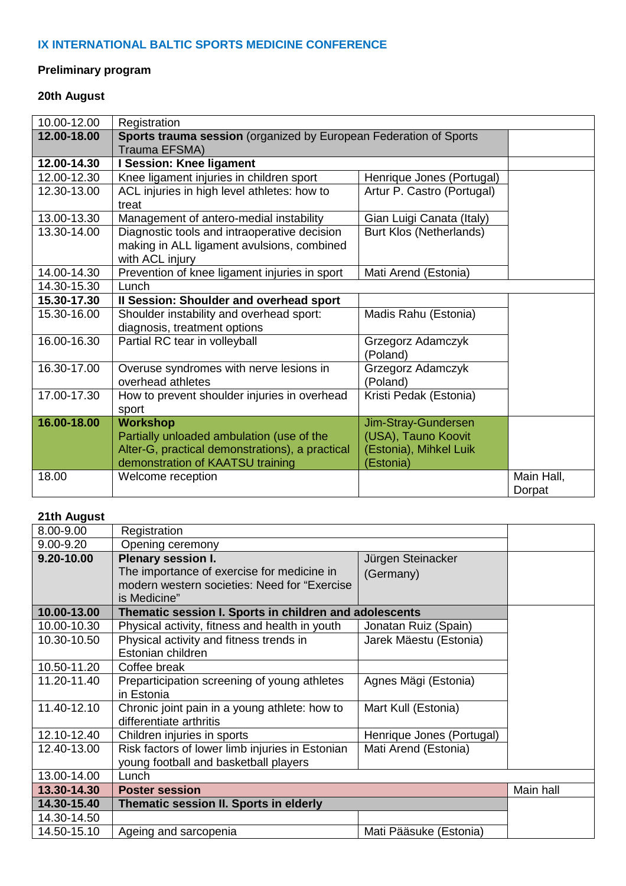### **IX INTERNATIONAL BALTIC SPORTS MEDICINE CONFERENCE**

# **Preliminary program**

# **20th August**

| 10.00-12.00 | Registration                                                      |                            |            |
|-------------|-------------------------------------------------------------------|----------------------------|------------|
| 12.00-18.00 | Sports trauma session (organized by European Federation of Sports |                            |            |
|             | Trauma EFSMA)                                                     |                            |            |
| 12.00-14.30 | I Session: Knee ligament                                          |                            |            |
| 12.00-12.30 | Knee ligament injuries in children sport                          | Henrique Jones (Portugal)  |            |
| 12.30-13.00 | ACL injuries in high level athletes: how to                       | Artur P. Castro (Portugal) |            |
|             | treat                                                             |                            |            |
| 13.00-13.30 | Management of antero-medial instability                           | Gian Luigi Canata (Italy)  |            |
| 13.30-14.00 | Diagnostic tools and intraoperative decision                      | Burt Klos (Netherlands)    |            |
|             | making in ALL ligament avulsions, combined                        |                            |            |
|             | with ACL injury                                                   |                            |            |
| 14.00-14.30 | Prevention of knee ligament injuries in sport                     | Mati Arend (Estonia)       |            |
| 14.30-15.30 | Lunch                                                             |                            |            |
| 15.30-17.30 | Il Session: Shoulder and overhead sport                           |                            |            |
| 15.30-16.00 | Shoulder instability and overhead sport:                          | Madis Rahu (Estonia)       |            |
|             | diagnosis, treatment options                                      |                            |            |
| 16.00-16.30 | Partial RC tear in volleyball                                     | Grzegorz Adamczyk          |            |
|             |                                                                   | (Poland)                   |            |
| 16.30-17.00 | Overuse syndromes with nerve lesions in                           | Grzegorz Adamczyk          |            |
|             | overhead athletes                                                 | (Poland)                   |            |
| 17.00-17.30 | How to prevent shoulder injuries in overhead                      | Kristi Pedak (Estonia)     |            |
|             | sport                                                             |                            |            |
| 16.00-18.00 | <b>Workshop</b>                                                   | Jim-Stray-Gundersen        |            |
|             | Partially unloaded ambulation (use of the                         | (USA), Tauno Koovit        |            |
|             | Alter-G, practical demonstrations), a practical                   | (Estonia), Mihkel Luik     |            |
|             | demonstration of KAATSU training                                  | (Estonia)                  |            |
| 18.00       | Welcome reception                                                 |                            | Main Hall, |
|             |                                                                   |                            | Dorpat     |

### **21th August**

| 8.00-9.00   | Registration                                           |                           |           |
|-------------|--------------------------------------------------------|---------------------------|-----------|
| 9.00-9.20   | Opening ceremony                                       |                           |           |
| 9.20-10.00  | <b>Plenary session I.</b>                              | Jürgen Steinacker         |           |
|             | The importance of exercise for medicine in             | (Germany)                 |           |
|             | modern western societies: Need for "Exercise"          |                           |           |
|             | is Medicine"                                           |                           |           |
| 10.00-13.00 | Thematic session I. Sports in children and adolescents |                           |           |
| 10.00-10.30 | Physical activity, fitness and health in youth         | Jonatan Ruiz (Spain)      |           |
| 10.30-10.50 | Physical activity and fitness trends in                | Jarek Mäestu (Estonia)    |           |
|             | Estonian children                                      |                           |           |
| 10.50-11.20 | Coffee break                                           |                           |           |
| 11.20-11.40 | Preparticipation screening of young athletes           | Agnes Mägi (Estonia)      |           |
|             | in Estonia                                             |                           |           |
| 11.40-12.10 | Chronic joint pain in a young athlete: how to          | Mart Kull (Estonia)       |           |
|             | differentiate arthritis                                |                           |           |
| 12.10-12.40 | Children injuries in sports                            | Henrique Jones (Portugal) |           |
| 12.40-13.00 | Risk factors of lower limb injuries in Estonian        | Mati Arend (Estonia)      |           |
|             | young football and basketball players                  |                           |           |
| 13.00-14.00 | Lunch                                                  |                           |           |
| 13.30-14.30 | <b>Poster session</b>                                  |                           | Main hall |
| 14.30-15.40 | Thematic session II. Sports in elderly                 |                           |           |
| 14.30-14.50 |                                                        |                           |           |
| 14.50-15.10 | Ageing and sarcopenia                                  | Mati Pääsuke (Estonia)    |           |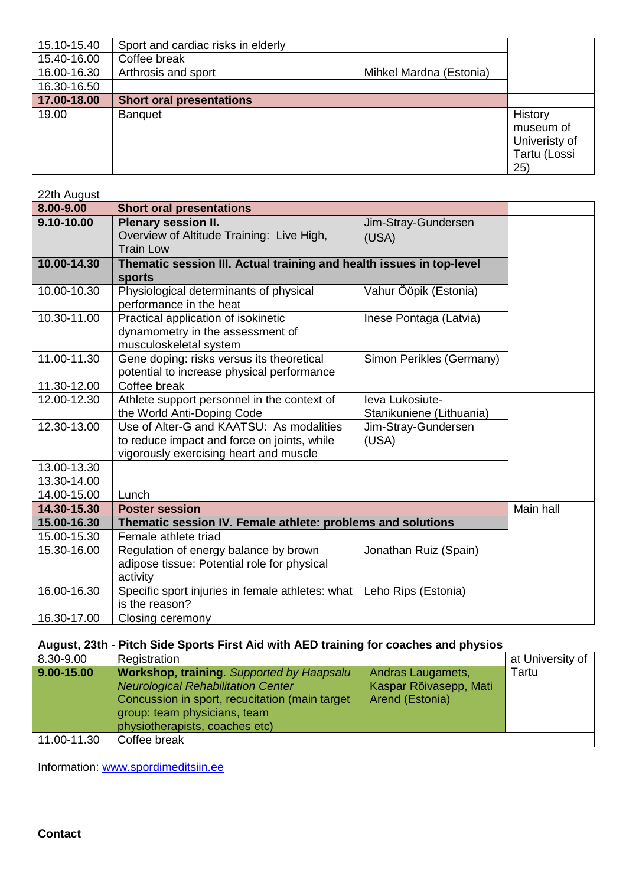| 15.10-15.40 | Sport and cardiac risks in elderly |                         |               |
|-------------|------------------------------------|-------------------------|---------------|
| 15.40-16.00 | Coffee break                       |                         |               |
| 16.00-16.30 | Arthrosis and sport                | Mihkel Mardna (Estonia) |               |
| 16.30-16.50 |                                    |                         |               |
| 17.00-18.00 | <b>Short oral presentations</b>    |                         |               |
| 19.00       | <b>Banquet</b>                     |                         | History       |
|             |                                    |                         | museum of     |
|             |                                    |                         | Univeristy of |
|             |                                    |                         | Tartu (Lossi  |
|             |                                    |                         | 25)           |

| 22th August |                                                                      |                          |           |
|-------------|----------------------------------------------------------------------|--------------------------|-----------|
| 8.00-9.00   | <b>Short oral presentations</b>                                      |                          |           |
| 9.10-10.00  | Plenary session II.                                                  | Jim-Stray-Gundersen      |           |
|             | Overview of Altitude Training: Live High,                            | (USA)                    |           |
|             | <b>Train Low</b>                                                     |                          |           |
| 10.00-14.30 | Thematic session III. Actual training and health issues in top-level |                          |           |
|             | sports                                                               |                          |           |
| 10.00-10.30 | Physiological determinants of physical                               | Vahur Ööpik (Estonia)    |           |
|             | performance in the heat                                              |                          |           |
| 10.30-11.00 | Practical application of isokinetic                                  | Inese Pontaga (Latvia)   |           |
|             | dynamometry in the assessment of                                     |                          |           |
|             | musculoskeletal system                                               |                          |           |
| 11.00-11.30 | Gene doping: risks versus its theoretical                            | Simon Perikles (Germany) |           |
|             | potential to increase physical performance                           |                          |           |
| 11.30-12.00 | Coffee break                                                         |                          |           |
| 12.00-12.30 | Athlete support personnel in the context of                          | leva Lukosiute-          |           |
|             | the World Anti-Doping Code                                           | Stanikuniene (Lithuania) |           |
| 12.30-13.00 | Use of Alter-G and KAATSU: As modalities                             | Jim-Stray-Gundersen      |           |
|             | to reduce impact and force on joints, while                          | (USA)                    |           |
|             | vigorously exercising heart and muscle                               |                          |           |
| 13.00-13.30 |                                                                      |                          |           |
| 13.30-14.00 |                                                                      |                          |           |
| 14.00-15.00 | Lunch                                                                |                          |           |
| 14.30-15.30 | <b>Poster session</b>                                                |                          | Main hall |
| 15.00-16.30 | Thematic session IV. Female athlete: problems and solutions          |                          |           |
| 15.00-15.30 | Female athlete triad                                                 |                          |           |
| 15.30-16.00 | Regulation of energy balance by brown                                | Jonathan Ruiz (Spain)    |           |
|             | adipose tissue: Potential role for physical                          |                          |           |
|             | activity                                                             |                          |           |
| 16.00-16.30 | Specific sport injuries in female athletes: what                     | Leho Rips (Estonia)      |           |
|             | is the reason?                                                       |                          |           |
| 16.30-17.00 | Closing ceremony                                                     |                          |           |

# **August, 23th** - **Pitch Side Sports First Aid with AED training for coaches and physios**

| 8.30-9.00      | Registration                                                                                                                                                                                         |                                                                | at University of |
|----------------|------------------------------------------------------------------------------------------------------------------------------------------------------------------------------------------------------|----------------------------------------------------------------|------------------|
| $9.00 - 15.00$ | Workshop, training. Supported by Haapsalu<br>Neurological Rehabilitation Center<br>Concussion in sport, recucitation (main target)<br>group: team physicians, team<br>physiotherapists, coaches etc) | Andras Laugamets,<br>Kaspar Rõivasepp, Mati<br>Arend (Estonia) | Tartu            |
| 11.00-11.30    | Coffee break                                                                                                                                                                                         |                                                                |                  |

Information: www.spordimeditsiin.ee